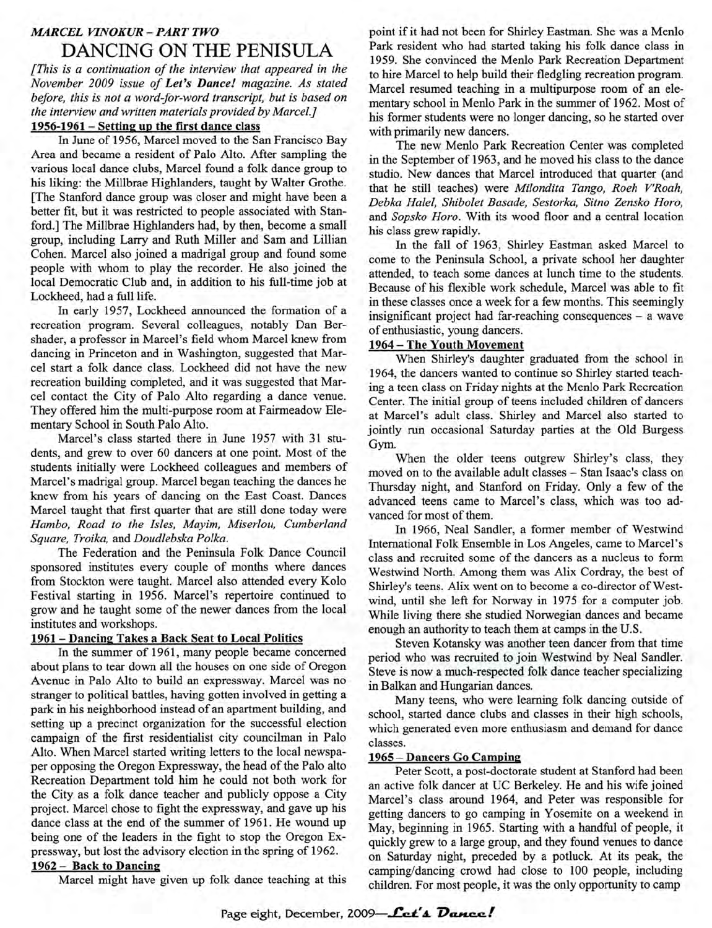# *MARCEL VINOKUR-PART TWO* DANCING ON THE PENISULA

*[This is a continuation of the interview that appeared in the November 2009 issue of Let's Dance! magazine. As stated before, this is not a word-for-word transcript, but is based on the interview and written materials provided by Marcel.]*

## **1956-1961 - Setting up the first dance class**

In June of 1956, Marcel moved to the San Francisco Bay Area and became a resident of Palo Alto. After sampling the various local dance clubs, Marcel found a folk dance group to his liking: the Millbrae Highlanders, taught by Walter Grothe. [The Stanford dance group was closer and might have been a better fit, but it was restricted to people associated with Stanford.] The Millbrae Highlanders had, by then, become a small group, including Larry and Ruth Miller and Sam and Lillian Cohen. Marcel also joined a madrigal group and found some people with whom to play the recorder. He also joined the local Democratic Club and, in addition to his full-time job at Lockheed, had a full life.

In early 1957, Lockheed announced the formation of a recreation program. Several colleagues, notably Dan Bershader, a professor in Marcel's field whom Marcel knew from dancing in Princeton and in Washington, suggested that Marcel start a folk dance class. Lockheed did not have the new recreation building completed, and it was suggested that Marcel contact the City of Palo Alto regarding a dance venue. They offered him the multi-purpose room at Fairmeadow Elementary School in South Palo Alto.

Marcel's class started there in June 1957 with 31 students, and grew to over 60 dancers at one point. Most of the students initially were Lockheed colleagues and members of Marcel's madrigal group. Marcel began teaching the dances he knew from his years of dancing on the East Coast. Dances Marcel taught that first quarter that are still done today were *Hambo, Road to the Isles, Mayim, Miserlou, Cumberland Square, Troika,* and *Doudlebska Polka.*

The Federation and the Peninsula Folk Dance Council sponsored institutes every couple of months where dances from Stockton were taught. Marcel also attended every Kolo Festival starting in 1956. Marcel's repertoire continued to grow and he taught some of the newer dances from the local institutes and workshops.

#### **1961 - Dancing Takes a Back Seat to Local Politics**

In the summer of 1961, many people became concerned about plans to tear down all the houses on one side of Oregon Avenue in Palo Alto to build an expressway. Marcel was no stranger to political battles, having gotten involved in getting a park in his neighborhood instead of an apartment building, and setting up a precinct organization for the successful election campaign of the first residentialist city councilman in Palo Alto. When Marcel started writing letters to the local newspaper opposing the Oregon Expressway, the head of the Palo alto Recreation Department told him he could not both work for the City as a folk dance teacher and publicly oppose a City project. Marcel chose to fight the expressway, and gave up his dance class at the end of the summer of 1961. He wound up being one of the leaders in the fight to stop the Oregon Expressway, but lost the advisory election in the spring of 1962.

## **1962- Back to Dancing**

Marcel might have given up folk dance teaching at this

point if it had not been for Shirley Eastman. She was a Menlo Park resident who had started taking his folk dance class in 1959. She convinced the Menlo Park Recreation Department to hire Marcel to help build their fledgling recreation program. Marcel resumed teaching in a multipurpose room of an elementary school in Menlo Park in the summer of 1962. Most of his former students were no longer dancing, so he started over with primarily new dancers.

The new Menlo Park Recreation Center was completed in the September of 1963, and he moved his class to the dance studio. New dances that Marcel introduced that quarter (and that he still teaches) were *Milondita Tango, Roeh V'Roah, Debka Halel, Shibolet Basade, Sestorka, Sitno Zensko Horo,* and *Sopsko Horo.* With its wood floor and a central location his class grew rapidly.

In the fall of 1963, Shirley Eastman asked Marcel to come to the Peninsula School, a private school her daughter attended, to teach some dances at lunch time to the students. Because of his flexible work schedule, Marcel was able to fit in these classes once a week for a few months. This seemingly insignificant project had far-reaching consequences - a wave of enthusiastic, young dancers.

## **1964 - The Youth Movement**

When Shirley's daughter graduated from the school in 1964, the dancers wanted to continue so Shirley started teaching a teen class on Friday nights at the Menlo Park Recreation Center. The initial group of teens included children of dancers at Marcel's adult class. Shirley and Marcel also started to jointly run occasional Saturday parties at the Old Burgess Gym.

When the older teens outgrew Shirley's class, they moved on to the available adult classes - Stan Isaac's class on Thursday night, and Stanford on Friday. Only a few of the advanced teens came to Marcel's class, which was too advanced for most of them.

In 1966, Neal Sandier, a former member of Westwind International Folk Ensemble in Los Angeles, came to Marcel's class and recruited some of the dancers as a nucleus to form Westwind North. Among them was Alix Cordray, the best of Shirley's teens. Alix went on to become a co-director of Westwind, until she left for Norway in 1975 for a computer job. While living there she studied Norwegian dances and became enough an authority to teach them at camps in the U.S.

Steven Kotansky was another teen dancer from that time period who was recruited to join Westwind by Neal Sandier. Steve is now a much-respected folk dance teacher specializing in Balkan and Hungarian dances.

Many teens, who were learning folk dancing outside of school, started dance clubs and classes in their high schools, which generated even more enthusiasm and demand for dance classes.

### **1965 - Dancers Go Camping**

Peter Scott, a post-doctorate student at Stanford had been an active folk dancer at UC Berkeley. He and his wife joined Marcel's class around 1964, and Peter was responsible for getting dancers to go camping in Yosemite on a weekend in May, beginning in 1965. Starting with a handful of people, it quickly grew to a large group, and they found venues to dance on Saturday night, preceded by a potluck. At its peak, the camping/dancing crowd had close to 100 people, including children. For most people, it was the only opportunity to camp